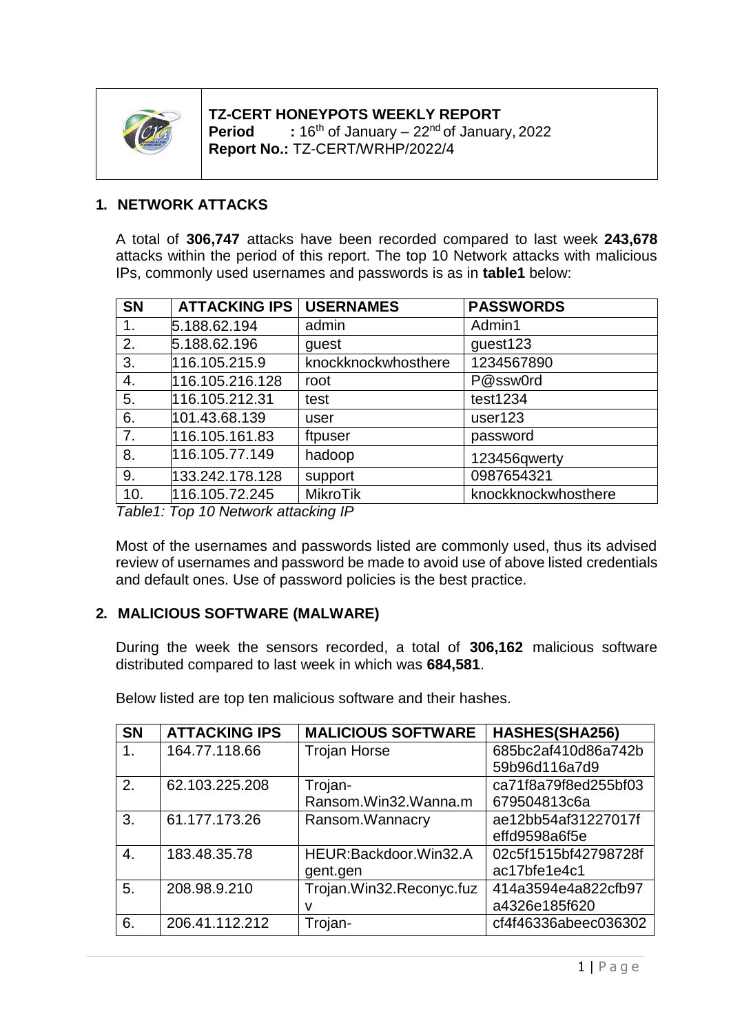

**TZ-CERT HONEYPOTS WEEKLY REPORT Period :** 16th of January – 22nd of January, 2022 **Report No.:** TZ-CERT/WRHP/2022/4

## **1. NETWORK ATTACKS**

A total of **306,747** attacks have been recorded compared to last week **243,678** attacks within the period of this report. The top 10 Network attacks with malicious IPs, commonly used usernames and passwords is as in **table1** below:

| <b>SN</b> | <b>ATTACKING IPS</b> | <b>USERNAMES</b>    | <b>PASSWORDS</b>    |
|-----------|----------------------|---------------------|---------------------|
| 1.        | 5.188.62.194         | admin               | Admin1              |
| 2.        | 5.188.62.196         | guest               | guest123            |
| 3.        | 116.105.215.9        | knockknockwhosthere | 1234567890          |
| 4.        | 116.105.216.128      | root                | P@ssw0rd            |
| 5.        | 116.105.212.31       | test                | test1234            |
| 6.        | 101.43.68.139        | user                | user <sub>123</sub> |
| 7.        | 116.105.161.83       | ftpuser             | password            |
| 8.        | 116.105.77.149       | hadoop              | 123456qwerty        |
| 9.        | 133.242.178.128      | support             | 0987654321          |
| 10.       | 116.105.72.245       | <b>MikroTik</b>     | knockknockwhosthere |

*Table1: Top 10 Network attacking IP*

Most of the usernames and passwords listed are commonly used, thus its advised review of usernames and password be made to avoid use of above listed credentials and default ones. Use of password policies is the best practice.

## **2. MALICIOUS SOFTWARE (MALWARE)**

During the week the sensors recorded, a total of **306,162** malicious software distributed compared to last week in which was **684,581**.

| <b>SN</b> | <b>ATTACKING IPS</b> | <b>MALICIOUS SOFTWARE</b> | HASHES(SHA256)       |
|-----------|----------------------|---------------------------|----------------------|
|           | 164.77.118.66        | <b>Trojan Horse</b>       | 685bc2af410d86a742b  |
|           |                      |                           | 59b96d116a7d9        |
| 2.        | 62.103.225.208       | Trojan-                   | ca71f8a79f8ed255bf03 |
|           |                      | Ransom.Win32.Wanna.m      | 679504813c6a         |
| 3.        | 61.177.173.26        | Ransom.Wannacry           | ae12bb54af31227017f  |
|           |                      |                           | effd9598a6f5e        |
| 4.        | 183.48.35.78         | HEUR:Backdoor.Win32.A     | 02c5f1515bf42798728f |
|           |                      | gent.gen                  | ac17bfe1e4c1         |
| 5.        | 208.98.9.210         | Trojan.Win32.Reconyc.fuz  | 414a3594e4a822cfb97  |
|           |                      |                           | a4326e185f620        |
| 6.        | 206.41.112.212       | Trojan-                   | cf4f46336abeec036302 |

Below listed are top ten malicious software and their hashes.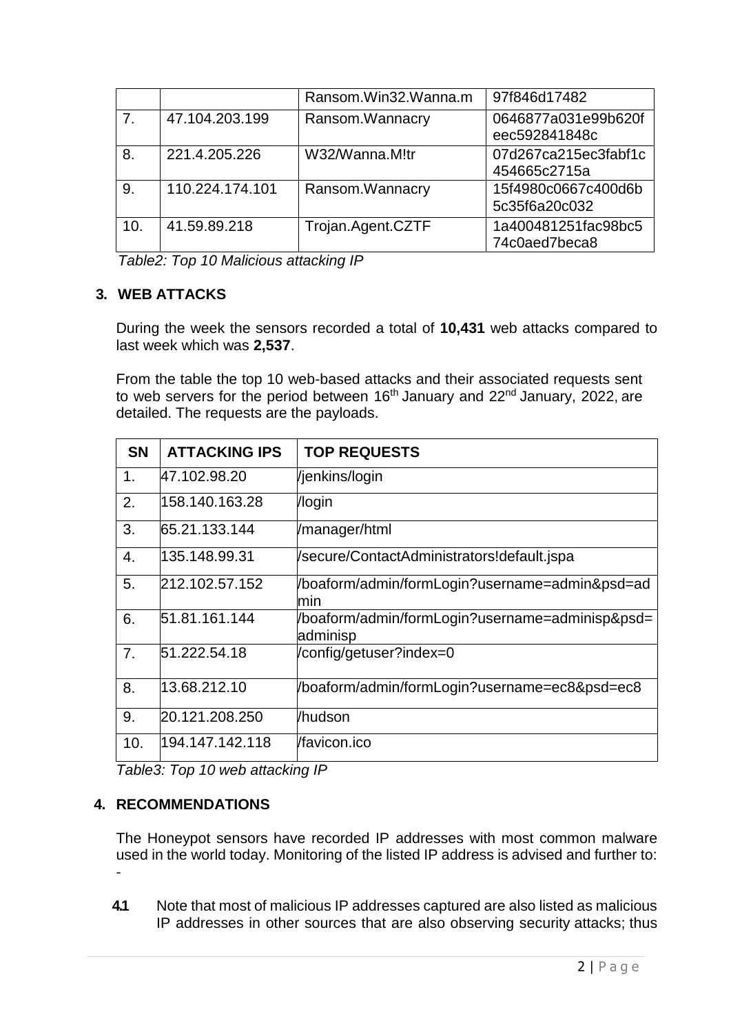|                |                 | Ransom.Win32.Wanna.m | 97f846d17482                         |
|----------------|-----------------|----------------------|--------------------------------------|
| 7 <sub>1</sub> | 47.104.203.199  | Ransom. Wannacry     | 0646877a031e99b620f<br>eec592841848c |
| 8.             | 221.4.205.226   | W32/Wanna.M!tr       | 07d267ca215ec3fabf1c<br>454665c2715a |
| 9.             | 110.224.174.101 | Ransom.Wannacry      | 15f4980c0667c400d6b<br>5c35f6a20c032 |
| 10.            | 41.59.89.218    | Trojan.Agent.CZTF    | 1a400481251fac98bc5<br>74c0aed7beca8 |

*Table2: Top 10 Malicious attacking IP*

## **3. WEB ATTACKS**

During the week the sensors recorded a total of **10,431** web attacks compared to last week which was **2,537**.

From the table the top 10 web-based attacks and their associated requests sent to web servers for the period between  $16<sup>th</sup>$  January and 22<sup>nd</sup> January, 2022, are detailed. The requests are the payloads.

| <b>SN</b>        | <b>ATTACKING IPS</b> | <b>TOP REQUESTS</b>                                         |
|------------------|----------------------|-------------------------------------------------------------|
| 1.               | 47.102.98.20         | /jenkins/login                                              |
| 2.               | 158.140.163.28       | /login                                                      |
| 3.               | 65.21.133.144        | /manager/html                                               |
| $\overline{4}$ . | 135.148.99.31        | /secure/ContactAdministrators!default.jspa                  |
| 5.               | 212.102.57.152       | /boaform/admin/formLogin?username=admin&psd=ad<br>lmin      |
| 6.               | 51.81.161.144        | /boaform/admin/formLogin?username=adminisp&psd=<br>adminisp |
| 7.               | 51.222.54.18         | /config/getuser?index=0                                     |
| 8.               | 13.68.212.10         | /boaform/admin/formLogin?username=ec8&psd=ec8               |
| 9.               | 20.121.208.250       | /hudson                                                     |
| 10.              | 194.147.142.118      | /favicon.ico                                                |

*Table3: Top 10 web attacking IP*

## **4. RECOMMENDATIONS**

The Honeypot sensors have recorded IP addresses with most common malware used in the world today. Monitoring of the listed IP address is advised and further to: -

**4.1** Note that most of malicious IP addresses captured are also listed as malicious IP addresses in other sources that are also observing security attacks; thus